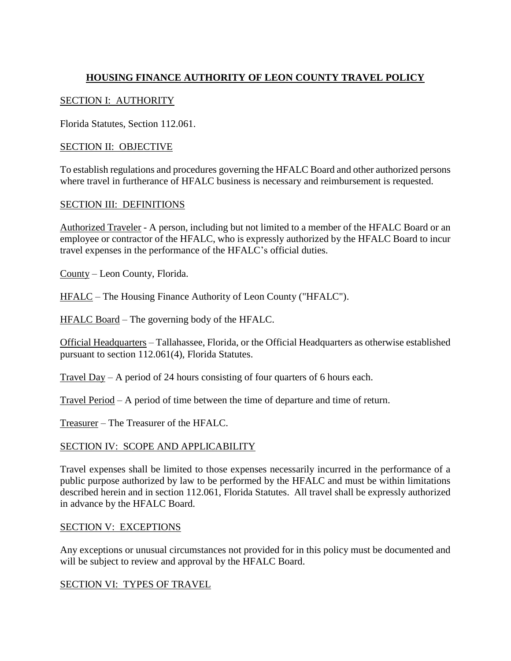# **HOUSING FINANCE AUTHORITY OF LEON COUNTY TRAVEL POLICY**

### SECTION I: AUTHORITY

Florida Statutes, Section 112.061.

### SECTION II: OBJECTIVE

To establish regulations and procedures governing the HFALC Board and other authorized persons where travel in furtherance of HFALC business is necessary and reimbursement is requested.

#### SECTION III: DEFINITIONS

Authorized Traveler - A person, including but not limited to a member of the HFALC Board or an employee or contractor of the HFALC, who is expressly authorized by the HFALC Board to incur travel expenses in the performance of the HFALC's official duties.

County – Leon County, Florida.

HFALC – The Housing Finance Authority of Leon County ("HFALC").

HFALC Board – The governing body of the HFALC.

Official Headquarters – Tallahassee, Florida, or the Official Headquarters as otherwise established pursuant to section 112.061(4), Florida Statutes.

Travel Day – A period of 24 hours consisting of four quarters of 6 hours each.

Travel Period – A period of time between the time of departure and time of return.

Treasurer – The Treasurer of the HFALC.

#### SECTION IV: SCOPE AND APPLICABILITY

Travel expenses shall be limited to those expenses necessarily incurred in the performance of a public purpose authorized by law to be performed by the HFALC and must be within limitations described herein and in section 112.061, Florida Statutes. All travel shall be expressly authorized in advance by the HFALC Board.

#### SECTION V: EXCEPTIONS

Any exceptions or unusual circumstances not provided for in this policy must be documented and will be subject to review and approval by the HFALC Board.

#### SECTION VI: TYPES OF TRAVEL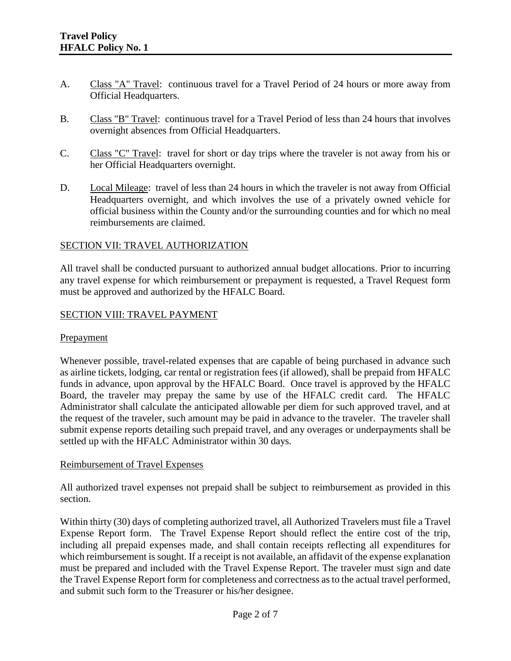- A. Class "A" Travel: continuous travel for a Travel Period of 24 hours or more away from Official Headquarters.
- B. Class "B" Travel: continuous travel for a Travel Period of less than 24 hours that involves overnight absences from Official Headquarters.
- C. Class "C" Travel: travel for short or day trips where the traveler is not away from his or her Official Headquarters overnight.
- D. Local Mileage: travel of less than 24 hours in which the traveler is not away from Official Headquarters overnight, and which involves the use of a privately owned vehicle for official business within the County and/or the surrounding counties and for which no meal reimbursements are claimed.

### SECTION VII: TRAVEL AUTHORIZATION

All travel shall be conducted pursuant to authorized annual budget allocations. Prior to incurring any travel expense for which reimbursement or prepayment is requested, a Travel Request form must be approved and authorized by the HFALC Board.

### SECTION VIII: TRAVEL PAYMENT

#### **Prepayment**

Whenever possible, travel-related expenses that are capable of being purchased in advance such as airline tickets, lodging, car rental or registration fees (if allowed), shall be prepaid from HFALC funds in advance, upon approval by the HFALC Board. Once travel is approved by the HFALC Board, the traveler may prepay the same by use of the HFALC credit card. The HFALC Administrator shall calculate the anticipated allowable per diem for such approved travel, and at the request of the traveler, such amount may be paid in advance to the traveler. The traveler shall submit expense reports detailing such prepaid travel, and any overages or underpayments shall be settled up with the HFALC Administrator within 30 days.

#### Reimbursement of Travel Expenses

All authorized travel expenses not prepaid shall be subject to reimbursement as provided in this section.

Within thirty (30) days of completing authorized travel, all Authorized Travelers must file a Travel Expense Report form. The Travel Expense Report should reflect the entire cost of the trip, including all prepaid expenses made, and shall contain receipts reflecting all expenditures for which reimbursement is sought. If a receipt is not available, an affidavit of the expense explanation must be prepared and included with the Travel Expense Report. The traveler must sign and date the Travel Expense Report form for completeness and correctness as to the actual travel performed, and submit such form to the Treasurer or his/her designee.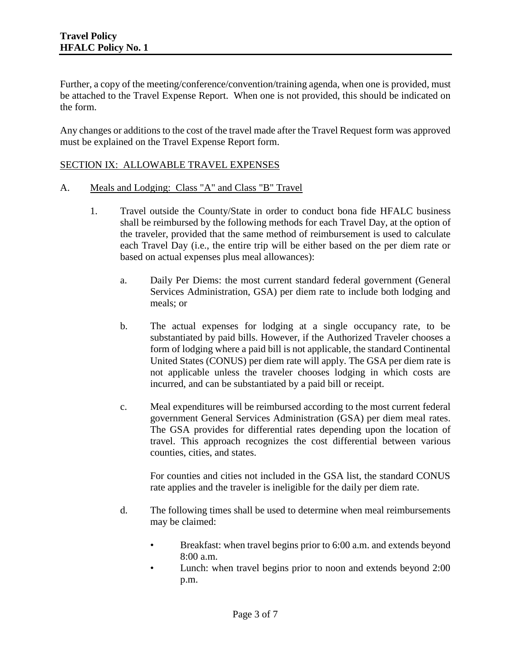Further, a copy of the meeting/conference/convention/training agenda, when one is provided, must be attached to the Travel Expense Report. When one is not provided, this should be indicated on the form.

Any changes or additions to the cost of the travel made after the Travel Request form was approved must be explained on the Travel Expense Report form.

### SECTION IX: ALLOWABLE TRAVEL EXPENSES

#### A. Meals and Lodging: Class "A" and Class "B" Travel

- 1. Travel outside the County/State in order to conduct bona fide HFALC business shall be reimbursed by the following methods for each Travel Day, at the option of the traveler, provided that the same method of reimbursement is used to calculate each Travel Day (i.e., the entire trip will be either based on the per diem rate or based on actual expenses plus meal allowances):
	- a. Daily Per Diems: the most current standard federal government (General Services Administration, GSA) per diem rate to include both lodging and meals; or
	- b. The actual expenses for lodging at a single occupancy rate, to be substantiated by paid bills. However, if the Authorized Traveler chooses a form of lodging where a paid bill is not applicable, the standard Continental United States (CONUS) per diem rate will apply. The GSA per diem rate is not applicable unless the traveler chooses lodging in which costs are incurred, and can be substantiated by a paid bill or receipt.
	- c. Meal expenditures will be reimbursed according to the most current federal government General Services Administration (GSA) per diem meal rates. The GSA provides for differential rates depending upon the location of travel. This approach recognizes the cost differential between various counties, cities, and states.

For counties and cities not included in the GSA list, the standard CONUS rate applies and the traveler is ineligible for the daily per diem rate.

- d. The following times shall be used to determine when meal reimbursements may be claimed:
	- Breakfast: when travel begins prior to 6:00 a.m. and extends beyond 8:00 a.m.
	- Lunch: when travel begins prior to noon and extends beyond 2:00 p.m.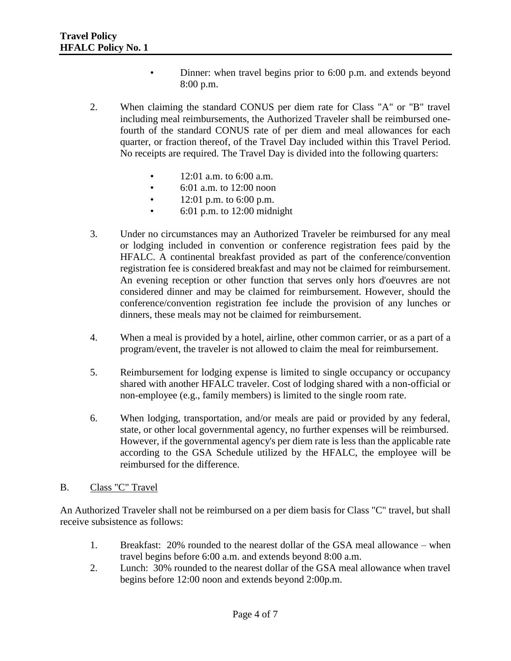- Dinner: when travel begins prior to 6:00 p.m. and extends beyond 8:00 p.m.
- 2. When claiming the standard CONUS per diem rate for Class "A" or "B" travel including meal reimbursements, the Authorized Traveler shall be reimbursed onefourth of the standard CONUS rate of per diem and meal allowances for each quarter, or fraction thereof, of the Travel Day included within this Travel Period. No receipts are required. The Travel Day is divided into the following quarters:
	- 12:01 a.m. to 6:00 a.m.
	- 6:01 a.m. to 12:00 noon
	- $12:01$  p.m. to 6:00 p.m.
	- 6:01 p.m. to 12:00 midnight
- 3. Under no circumstances may an Authorized Traveler be reimbursed for any meal or lodging included in convention or conference registration fees paid by the HFALC. A continental breakfast provided as part of the conference/convention registration fee is considered breakfast and may not be claimed for reimbursement. An evening reception or other function that serves only hors d'oeuvres are not considered dinner and may be claimed for reimbursement. However, should the conference/convention registration fee include the provision of any lunches or dinners, these meals may not be claimed for reimbursement.
- 4. When a meal is provided by a hotel, airline, other common carrier, or as a part of a program/event, the traveler is not allowed to claim the meal for reimbursement.
- 5. Reimbursement for lodging expense is limited to single occupancy or occupancy shared with another HFALC traveler. Cost of lodging shared with a non-official or non-employee (e.g., family members) is limited to the single room rate.
- 6. When lodging, transportation, and/or meals are paid or provided by any federal, state, or other local governmental agency, no further expenses will be reimbursed. However, if the governmental agency's per diem rate is less than the applicable rate according to the GSA Schedule utilized by the HFALC, the employee will be reimbursed for the difference.

## B. Class "C" Travel

An Authorized Traveler shall not be reimbursed on a per diem basis for Class "C" travel, but shall receive subsistence as follows:

- 1. Breakfast: 20% rounded to the nearest dollar of the GSA meal allowance when travel begins before 6:00 a.m. and extends beyond 8:00 a.m.
- 2. Lunch: 30% rounded to the nearest dollar of the GSA meal allowance when travel begins before 12:00 noon and extends beyond 2:00p.m.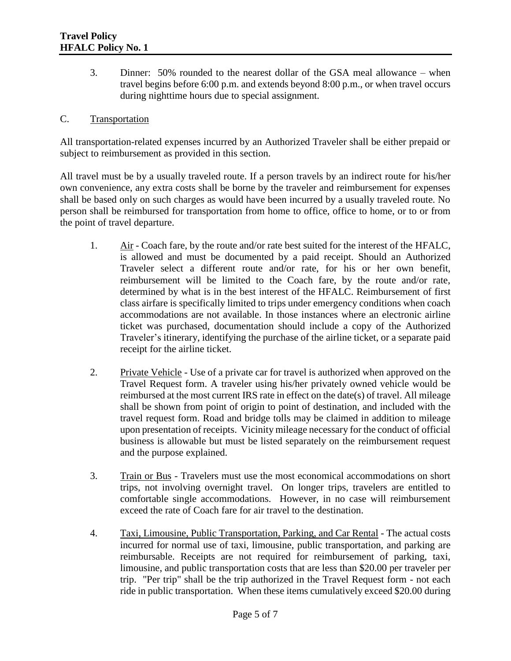3. Dinner: 50% rounded to the nearest dollar of the GSA meal allowance – when travel begins before 6:00 p.m. and extends beyond 8:00 p.m., or when travel occurs during nighttime hours due to special assignment.

### C. Transportation

All transportation-related expenses incurred by an Authorized Traveler shall be either prepaid or subject to reimbursement as provided in this section.

All travel must be by a usually traveled route. If a person travels by an indirect route for his/her own convenience, any extra costs shall be borne by the traveler and reimbursement for expenses shall be based only on such charges as would have been incurred by a usually traveled route. No person shall be reimbursed for transportation from home to office, office to home, or to or from the point of travel departure.

- 1. Air Coach fare, by the route and/or rate best suited for the interest of the HFALC, is allowed and must be documented by a paid receipt. Should an Authorized Traveler select a different route and/or rate, for his or her own benefit, reimbursement will be limited to the Coach fare, by the route and/or rate, determined by what is in the best interest of the HFALC. Reimbursement of first class airfare is specifically limited to trips under emergency conditions when coach accommodations are not available. In those instances where an electronic airline ticket was purchased, documentation should include a copy of the Authorized Traveler's itinerary, identifying the purchase of the airline ticket, or a separate paid receipt for the airline ticket.
- 2. Private Vehicle Use of a private car for travel is authorized when approved on the Travel Request form. A traveler using his/her privately owned vehicle would be reimbursed at the most current IRS rate in effect on the date(s) of travel. All mileage shall be shown from point of origin to point of destination, and included with the travel request form. Road and bridge tolls may be claimed in addition to mileage upon presentation of receipts. Vicinity mileage necessary for the conduct of official business is allowable but must be listed separately on the reimbursement request and the purpose explained.
- 3. Train or Bus Travelers must use the most economical accommodations on short trips, not involving overnight travel. On longer trips, travelers are entitled to comfortable single accommodations. However, in no case will reimbursement exceed the rate of Coach fare for air travel to the destination.
- 4. Taxi, Limousine, Public Transportation, Parking, and Car Rental The actual costs incurred for normal use of taxi, limousine, public transportation, and parking are reimbursable. Receipts are not required for reimbursement of parking, taxi, limousine, and public transportation costs that are less than \$20.00 per traveler per trip. "Per trip" shall be the trip authorized in the Travel Request form - not each ride in public transportation. When these items cumulatively exceed \$20.00 during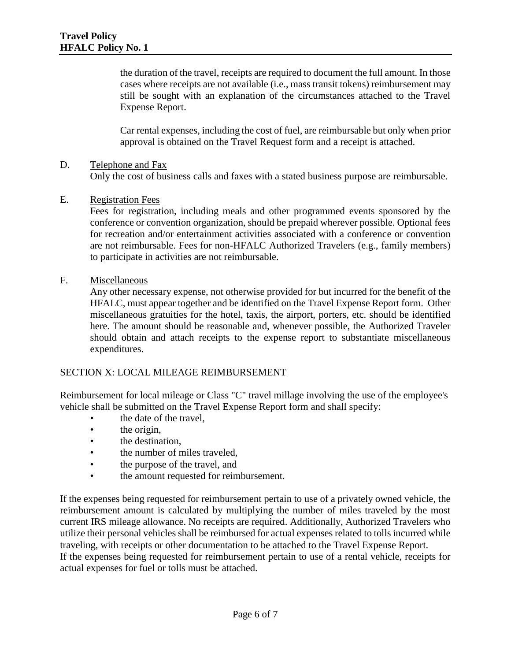the duration of the travel, receipts are required to document the full amount. In those cases where receipts are not available (i.e., mass transit tokens) reimbursement may still be sought with an explanation of the circumstances attached to the Travel Expense Report.

Car rental expenses, including the cost of fuel, are reimbursable but only when prior approval is obtained on the Travel Request form and a receipt is attached.

### D. Telephone and Fax

Only the cost of business calls and faxes with a stated business purpose are reimbursable.

### E. Registration Fees

Fees for registration, including meals and other programmed events sponsored by the conference or convention organization, should be prepaid wherever possible. Optional fees for recreation and/or entertainment activities associated with a conference or convention are not reimbursable. Fees for non-HFALC Authorized Travelers (e.g., family members) to participate in activities are not reimbursable.

### F. Miscellaneous

Any other necessary expense, not otherwise provided for but incurred for the benefit of the HFALC, must appear together and be identified on the Travel Expense Report form. Other miscellaneous gratuities for the hotel, taxis, the airport, porters, etc. should be identified here. The amount should be reasonable and, whenever possible, the Authorized Traveler should obtain and attach receipts to the expense report to substantiate miscellaneous expenditures.

#### SECTION X: LOCAL MILEAGE REIMBURSEMENT

Reimbursement for local mileage or Class "C" travel millage involving the use of the employee's vehicle shall be submitted on the Travel Expense Report form and shall specify:

- the date of the travel,
- the origin.
- the destination,
- the number of miles traveled,
- the purpose of the travel, and
- the amount requested for reimbursement.

If the expenses being requested for reimbursement pertain to use of a privately owned vehicle, the reimbursement amount is calculated by multiplying the number of miles traveled by the most current IRS mileage allowance. No receipts are required. Additionally, Authorized Travelers who utilize their personal vehicles shall be reimbursed for actual expenses related to tolls incurred while traveling, with receipts or other documentation to be attached to the Travel Expense Report. If the expenses being requested for reimbursement pertain to use of a rental vehicle, receipts for actual expenses for fuel or tolls must be attached.